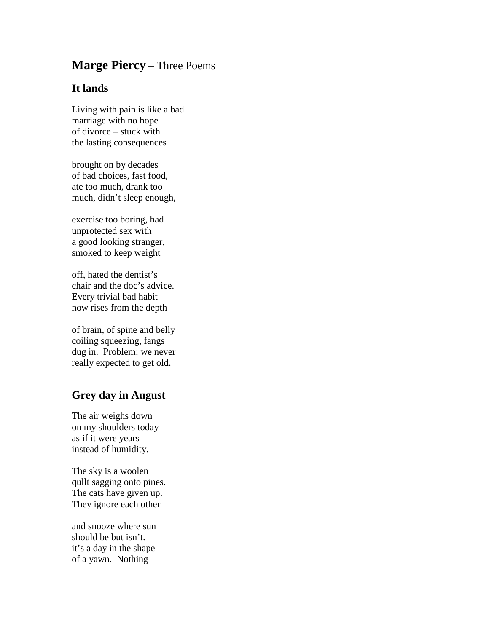## **Marge Piercy** – Three Poems

## **It lands**

Living with pain is like a bad marriage with no hope of divorce – stuck with the lasting consequences

brought on by decades of bad choices, fast food, ate too much, drank too much, didn't sleep enough,

exercise too boring, had unprotected sex with a good looking stranger, smoked to keep weight

off, hated the dentist's chair and the doc's advice. Every trivial bad habit now rises from the depth

of brain, of spine and belly coiling squeezing, fangs dug in. Problem: we never really expected to get old.

## **Grey day in August**

The air weighs down on my shoulders today as if it were years instead of humidity.

The sky is a woolen qullt sagging onto pines. The cats have given up. They ignore each other

and snooze where sun should be but isn't. it's a day in the shape of a yawn. Nothing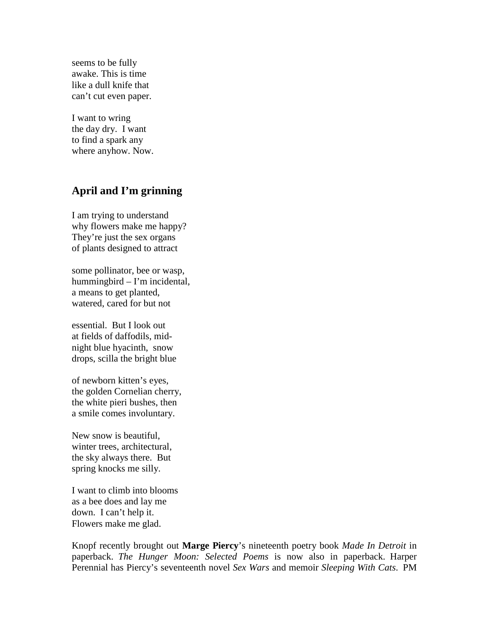seems to be fully awake. This is time like a dull knife that can't cut even paper.

I want to wring the day dry. I want to find a spark any where anyhow. Now.

## **April and I'm grinning**

I am trying to understand why flowers make me happy? They're just the sex organs of plants designed to attract

some pollinator, bee or wasp, hummingbird – I'm incidental, a means to get planted, watered, cared for but not

essential. But I look out at fields of daffodils, midnight blue hyacinth, snow drops, scilla the bright blue

of newborn kitten's eyes, the golden Cornelian cherry, the white pieri bushes, then a smile comes involuntary.

New snow is beautiful, winter trees, architectural, the sky always there. But spring knocks me silly.

I want to climb into blooms as a bee does and lay me down. I can't help it. Flowers make me glad.

Knopf recently brought out **Marge Piercy**'s nineteenth poetry book *Made In Detroit* in paperback. *The Hunger Moon: Selected Poems* is now also in paperback. Harper Perennial has Piercy's seventeenth novel *Sex Wars* and memoir *Sleeping With Cats*. PM